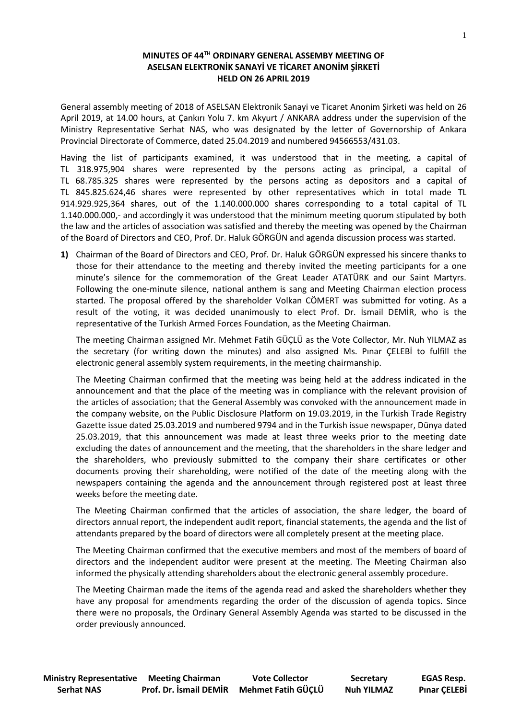## **MINUTES OF 44 TH ORDINARY GENERAL ASSEMBY MEETING OF ASELSAN ELEKTRONİK SANAYİ VE TİCARET ANONİM ŞİRKETİ HELD ON 26 APRIL 2019**

General assembly meeting of 2018 of ASELSAN Elektronik Sanayi ve Ticaret Anonim Şirketi was held on 26 April 2019, at 14.00 hours, at Çankırı Yolu 7. km Akyurt / ANKARA address under the supervision of the Ministry Representative Serhat NAS, who was designated by the letter of Governorship of Ankara Provincial Directorate of Commerce, dated 25.04.2019 and numbered 94566553/431.03.

Having the list of participants examined, it was understood that in the meeting, a capital of TL 318.975,904 shares were represented by the persons acting as principal, a capital of TL 68.785.325 shares were represented by the persons acting as depositors and a capital of TL 845.825.624,46 shares were represented by other representatives which in total made TL 914.929.925,364 shares, out of the 1.140.000.000 shares corresponding to a total capital of TL 1.140.000.000,- and accordingly it was understood that the minimum meeting quorum stipulated by both the law and the articles of association was satisfied and thereby the meeting was opened by the Chairman of the Board of Directors and CEO, Prof. Dr. Haluk GÖRGÜN and agenda discussion process was started.

**1)** Chairman of the Board of Directors and CEO, Prof. Dr. Haluk GÖRGÜN expressed his sincere thanks to those for their attendance to the meeting and thereby invited the meeting participants for a one minute's silence for the commemoration of the Great Leader ATATÜRK and our Saint Martyrs. Following the one-minute silence, national anthem is sang and Meeting Chairman election process started. The proposal offered by the shareholder Volkan CÖMERT was submitted for voting. As a result of the voting, it was decided unanimously to elect Prof. Dr. İsmail DEMİR, who is the representative of the Turkish Armed Forces Foundation, as the Meeting Chairman.

The meeting Chairman assigned Mr. Mehmet Fatih GÜÇLÜ as the Vote Collector, Mr. Nuh YILMAZ as the secretary (for writing down the minutes) and also assigned Ms. Pınar ÇELEBİ to fulfill the electronic general assembly system requirements, in the meeting chairmanship.

The Meeting Chairman confirmed that the meeting was being held at the address indicated in the announcement and that the place of the meeting was in compliance with the relevant provision of the articles of association; that the General Assembly was convoked with the announcement made in the company website, on the Public Disclosure Platform on 19.03.2019, in the Turkish Trade Registry Gazette issue dated 25.03.2019 and numbered 9794 and in the Turkish issue newspaper, Dünya dated 25.03.2019, that this announcement was made at least three weeks prior to the meeting date excluding the dates of announcement and the meeting, that the shareholders in the share ledger and the shareholders, who previously submitted to the company their share certificates or other documents proving their shareholding, were notified of the date of the meeting along with the newspapers containing the agenda and the announcement through registered post at least three weeks before the meeting date.

The Meeting Chairman confirmed that the articles of association, the share ledger, the board of directors annual report, the independent audit report, financial statements, the agenda and the list of attendants prepared by the board of directors were all completely present at the meeting place.

The Meeting Chairman confirmed that the executive members and most of the members of board of directors and the independent auditor were present at the meeting. The Meeting Chairman also informed the physically attending shareholders about the electronic general assembly procedure.

The Meeting Chairman made the items of the agenda read and asked the shareholders whether they have any proposal for amendments regarding the order of the discussion of agenda topics. Since there were no proposals, the Ordinary General Assembly Agenda was started to be discussed in the order previously announced.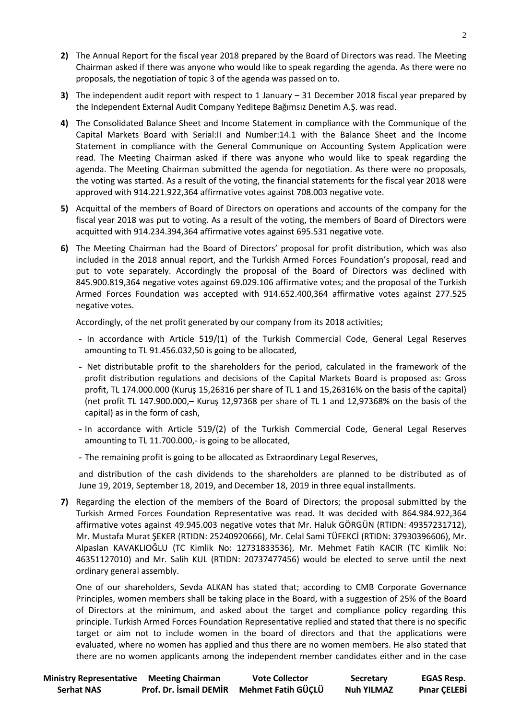- **2)** The Annual Report for the fiscal year 2018 prepared by the Board of Directors was read. The Meeting Chairman asked if there was anyone who would like to speak regarding the agenda. As there were no proposals, the negotiation of topic 3 of the agenda was passed on to.
- **3)** The independent audit report with respect to 1 January 31 December 2018 fiscal year prepared by the Independent External Audit Company Yeditepe Bağımsız Denetim A.Ş. was read.
- **4)** The Consolidated Balance Sheet and Income Statement in compliance with the Communique of the Capital Markets Board with Serial:II and Number:14.1 with the Balance Sheet and the Income Statement in compliance with the General Communique on Accounting System Application were read. The Meeting Chairman asked if there was anyone who would like to speak regarding the agenda. The Meeting Chairman submitted the agenda for negotiation. As there were no proposals, the voting was started. As a result of the voting, the financial statements for the fiscal year 2018 were approved with 914.221.922,364 affirmative votes against 708.003 negative vote.
- **5)** Acquittal of the members of Board of Directors on operations and accounts of the company for the fiscal year 2018 was put to voting. As a result of the voting, the members of Board of Directors were acquitted with 914.234.394,364 affirmative votes against 695.531 negative vote.
- **6)** The Meeting Chairman had the Board of Directors' proposal for profit distribution, which was also included in the 2018 annual report, and the Turkish Armed Forces Foundation's proposal, read and put to vote separately. Accordingly the proposal of the Board of Directors was declined with 845.900.819,364 negative votes against 69.029.106 affirmative votes; and the proposal of the Turkish Armed Forces Foundation was accepted with 914.652.400,364 affirmative votes against 277.525 negative votes.

Accordingly, of the net profit generated by our company from its 2018 activities;

- **-** In accordance with Article 519/(1) of the Turkish Commercial Code, General Legal Reserves amounting to TL 91.456.032,50 is going to be allocated,
- **-** Net distributable profit to the shareholders for the period, calculated in the framework of the profit distribution regulations and decisions of the Capital Markets Board is proposed as: Gross profit, TL 174.000.000 (Kuruş 15,26316 per share of TL 1 and 15,26316% on the basis of the capital) (net profit TL 147.900.000,– Kuruş 12,97368 per share of TL 1 and 12,97368% on the basis of the capital) as in the form of cash,
- **-** In accordance with Article 519/(2) of the Turkish Commercial Code, General Legal Reserves amounting to TL 11.700.000,- is going to be allocated,
- **-** The remaining profit is going to be allocated as Extraordinary Legal Reserves,

and distribution of the cash dividends to the shareholders are planned to be distributed as of June 19, 2019, September 18, 2019, and December 18, 2019 in three equal installments.

**7)** Regarding the election of the members of the Board of Directors; the proposal submitted by the Turkish Armed Forces Foundation Representative was read. It was decided with 864.984.922,364 affirmative votes against 49.945.003 negative votes that Mr. Haluk GÖRGÜN (RTIDN: 49357231712), Mr. Mustafa Murat ŞEKER (RTIDN: 25240920666), Mr. Celal Sami TÜFEKCİ (RTIDN: 37930396606), Mr. Alpaslan KAVAKLIOĞLU (TC Kimlik No: 12731833536), Mr. Mehmet Fatih KACIR (TC Kimlik No: 46351127010) and Mr. Salih KUL (RTIDN: 20737477456) would be elected to serve until the next ordinary general assembly.

One of our shareholders, Sevda ALKAN has stated that; according to CMB Corporate Governance Principles, women members shall be taking place in the Board, with a suggestion of 25% of the Board of Directors at the minimum, and asked about the target and compliance policy regarding this principle. Turkish Armed Forces Foundation Representative replied and stated that there is no specific target or aim not to include women in the board of directors and that the applications were evaluated, where no women has applied and thus there are no women members. He also stated that there are no women applicants among the independent member candidates either and in the case

| <b>Ministry Representative</b> | <b>Meeting Chairman</b> | <b>Vote Collector</b> | Secretary         | <b>EGAS Resp.</b>   |
|--------------------------------|-------------------------|-----------------------|-------------------|---------------------|
| <b>Serhat NAS</b>              | Prof. Dr. İsmail DEMİR  | Mehmet Fatih GÜÇLÜ    | <b>Nuh YILMAZ</b> | <b>Pinar CELEBİ</b> |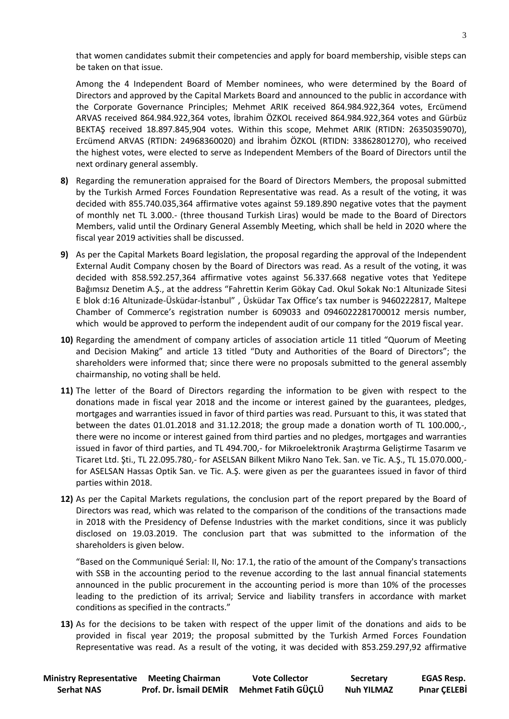that women candidates submit their competencies and apply for board membership, visible steps can be taken on that issue.

Among the 4 Independent Board of Member nominees, who were determined by the Board of Directors and approved by the Capital Markets Board and announced to the public in accordance with the Corporate Governance Principles; Mehmet ARIK received 864.984.922,364 votes, Ercümend ARVAS received 864.984.922,364 votes, İbrahim ÖZKOL received 864.984.922,364 votes and Gürbüz BEKTAŞ received 18.897.845,904 votes. Within this scope, Mehmet ARIK (RTIDN: 26350359070), Ercümend ARVAS (RTIDN: 24968360020) and İbrahim ÖZKOL (RTIDN: 33862801270), who received the highest votes, were elected to serve as Independent Members of the Board of Directors until the next ordinary general assembly.

- **8)** Regarding the remuneration appraised for the Board of Directors Members, the proposal submitted by the Turkish Armed Forces Foundation Representative was read. As a result of the voting, it was decided with 855.740.035,364 affirmative votes against 59.189.890 negative votes that the payment of monthly net TL 3.000.- (three thousand Turkish Liras) would be made to the Board of Directors Members, valid until the Ordinary General Assembly Meeting, which shall be held in 2020 where the fiscal year 2019 activities shall be discussed.
- **9)** As per the Capital Markets Board legislation, the proposal regarding the approval of the Independent External Audit Company chosen by the Board of Directors was read. As a result of the voting, it was decided with 858.592.257,364 affirmative votes against 56.337.668 negative votes that Yeditepe Bağımsız Denetim A.Ş., at the address "Fahrettin Kerim Gökay Cad. Okul Sokak No:1 Altunizade Sitesi E blok d:16 Altunizade-Üsküdar-İstanbul" , Üsküdar Tax Office's tax number is 9460222817, Maltepe Chamber of Commerce's registration number is 609033 and 0946022281700012 mersis number, which would be approved to perform the independent audit of our company for the 2019 fiscal year.
- **10)** Regarding the amendment of company articles of association article 11 titled "Quorum of Meeting and Decision Making" and article 13 titled "Duty and Authorities of the Board of Directors"; the shareholders were informed that; since there were no proposals submitted to the general assembly chairmanship, no voting shall be held.
- **11)** The letter of the Board of Directors regarding the information to be given with respect to the donations made in fiscal year 2018 and the income or interest gained by the guarantees, pledges, mortgages and warranties issued in favor of third parties was read. Pursuant to this, it was stated that between the dates 01.01.2018 and 31.12.2018; the group made a donation worth of TL 100.000,-, there were no income or interest gained from third parties and no pledges, mortgages and warranties issued in favor of third parties, and TL 494.700,- for Mikroelektronik Araştırma Geliştirme Tasarım ve Ticaret Ltd. Şti., TL 22.095.780,- for ASELSAN Bilkent Mikro Nano Tek. San. ve Tic. A.Ş., TL 15.070.000, for ASELSAN Hassas Optik San. ve Tic. A.Ş. were given as per the guarantees issued in favor of third parties within 2018.
- **12)** As per the Capital Markets regulations, the conclusion part of the report prepared by the Board of Directors was read, which was related to the comparison of the conditions of the transactions made in 2018 with the Presidency of Defense Industries with the market conditions, since it was publicly disclosed on 19.03.2019. The conclusion part that was submitted to the information of the shareholders is given below.

"Based on the Communiqué Serial: II, No: 17.1, the ratio of the amount of the Company's transactions with SSB in the accounting period to the revenue according to the last annual financial statements announced in the public procurement in the accounting period is more than 10% of the processes leading to the prediction of its arrival; Service and liability transfers in accordance with market conditions as specified in the contracts."

**13)** As for the decisions to be taken with respect of the upper limit of the donations and aids to be provided in fiscal year 2019; the proposal submitted by the Turkish Armed Forces Foundation Representative was read. As a result of the voting, it was decided with 853.259.297,92 affirmative

| <b>Ministry Representative Meeting Chairman</b> |                        | <b>Vote Collector</b> | Secretary         | <b>EGAS Resp.</b>   |
|-------------------------------------------------|------------------------|-----------------------|-------------------|---------------------|
| <b>Serhat NAS</b>                               | Prof. Dr. İsmail DEMİR | Mehmet Fatih GÜÇLÜ    | <b>Nuh YILMAZ</b> | <b>Pinar CELEBİ</b> |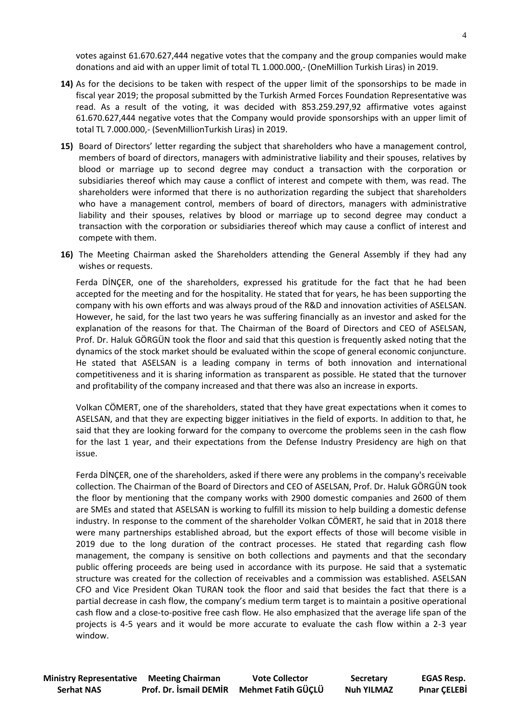votes against 61.670.627,444 negative votes that the company and the group companies would make donations and aid with an upper limit of total TL 1.000.000,- (OneMillion Turkish Liras) in 2019.

- **14)** As for the decisions to be taken with respect of the upper limit of the sponsorships to be made in fiscal year 2019; the proposal submitted by the Turkish Armed Forces Foundation Representative was read. As a result of the voting, it was decided with 853.259.297,92 affirmative votes against 61.670.627,444 negative votes that the Company would provide sponsorships with an upper limit of total TL 7.000.000,- (SevenMillionTurkish Liras) in 2019.
- **15)** Board of Directors' letter regarding the subject that shareholders who have a management control, members of board of directors, managers with administrative liability and their spouses, relatives by blood or marriage up to second degree may conduct a transaction with the corporation or subsidiaries thereof which may cause a conflict of interest and compete with them, was read. The shareholders were informed that there is no authorization regarding the subject that shareholders who have a management control, members of board of directors, managers with administrative liability and their spouses, relatives by blood or marriage up to second degree may conduct a transaction with the corporation or subsidiaries thereof which may cause a conflict of interest and compete with them.
- **16)** The Meeting Chairman asked the Shareholders attending the General Assembly if they had any wishes or requests.

Ferda DİNÇER, one of the shareholders, expressed his gratitude for the fact that he had been accepted for the meeting and for the hospitality. He stated that for years, he has been supporting the company with his own efforts and was always proud of the R&D and innovation activities of ASELSAN. However, he said, for the last two years he was suffering financially as an investor and asked for the explanation of the reasons for that. The Chairman of the Board of Directors and CEO of ASELSAN, Prof. Dr. Haluk GÖRGÜN took the floor and said that this question is frequently asked noting that the dynamics of the stock market should be evaluated within the scope of general economic conjuncture. He stated that ASELSAN is a leading company in terms of both innovation and international competitiveness and it is sharing information as transparent as possible. He stated that the turnover and profitability of the company increased and that there was also an increase in exports.

Volkan CÖMERT, one of the shareholders, stated that they have great expectations when it comes to ASELSAN, and that they are expecting bigger initiatives in the field of exports. In addition to that, he said that they are looking forward for the company to overcome the problems seen in the cash flow for the last 1 year, and their expectations from the Defense Industry Presidency are high on that issue.

Ferda DİNÇER, one of the shareholders, asked if there were any problems in the company's receivable collection. The Chairman of the Board of Directors and CEO of ASELSAN, Prof. Dr. Haluk GÖRGÜN took the floor by mentioning that the company works with 2900 domestic companies and 2600 of them are SMEs and stated that ASELSAN is working to fulfill its mission to help building a domestic defense industry. In response to the comment of the shareholder Volkan CÖMERT, he said that in 2018 there were many partnerships established abroad, but the export effects of those will become visible in 2019 due to the long duration of the contract processes. He stated that regarding cash flow management, the company is sensitive on both collections and payments and that the secondary public offering proceeds are being used in accordance with its purpose. He said that a systematic structure was created for the collection of receivables and a commission was established. ASELSAN CFO and Vice President Okan TURAN took the floor and said that besides the fact that there is a partial decrease in cash flow, the company's medium term target is to maintain a positive operational cash flow and a close-to-positive free cash flow. He also emphasized that the average life span of the projects is 4-5 years and it would be more accurate to evaluate the cash flow within a 2-3 year window.